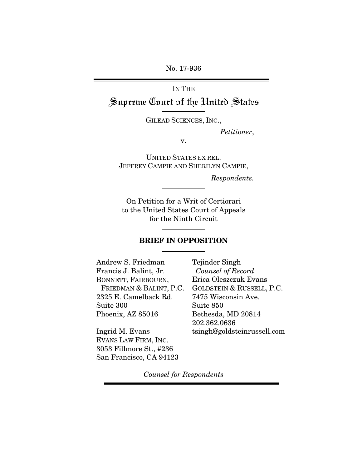No. 17-936

# IN THE Supreme Court of the United States

GILEAD SCIENCES, INC.,

Petitioner,

v.

UNITED STATES EX REL. JEFFREY CAMPIE AND SHERILYN CAMPIE,

Respondents.

On Petition for a Writ of Certiorari to the United States Court of Appeals for the Ninth Circuit

### **BRIEF IN OPPOSITION**

Andrew S. Friedman Francis J. Balint, Jr. BONNETT, FAIRBOURN, FRIEDMAN & BALINT, P.C. 2325 E. Camelback Rd. Suite 300 Phoenix, AZ 85016

Ingrid M. Evans EVANS LAW FIRM, INC. 3053 Fillmore St., #236 San Francisco, CA 94123 Tejinder Singh Counsel of Record Erica Oleszczuk Evans GOLDSTEIN & RUSSELL, P.C. 7475 Wisconsin Ave. Suite 850 Bethesda, MD 20814 202.362.0636 tsingh@goldsteinrussell.com

Counsel for Respondents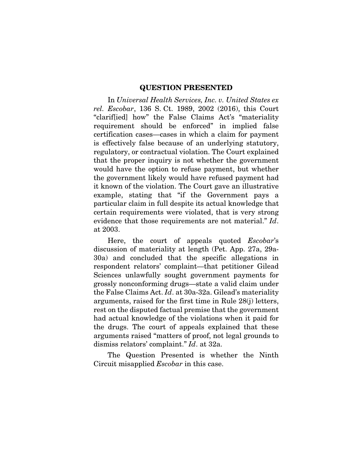### **QUESTION PRESENTED**

In Universal Health Services, Inc. v. United States ex rel. Escobar, 136 S. Ct. 1989, 2002 (2016), this Court "clarif[ied] how" the False Claims Act's "materiality requirement should be enforced" in implied false certification cases—cases in which a claim for payment is effectively false because of an underlying statutory, regulatory, or contractual violation. The Court explained that the proper inquiry is not whether the government would have the option to refuse payment, but whether the government likely would have refused payment had it known of the violation. The Court gave an illustrative example, stating that "if the Government pays a particular claim in full despite its actual knowledge that certain requirements were violated, that is very strong evidence that those requirements are not material." Id. at 2003.

Here, the court of appeals quoted Escobar's discussion of materiality at length (Pet. App. 27a, 29a-30a) and concluded that the specific allegations in respondent relators' complaint—that petitioner Gilead Sciences unlawfully sought government payments for grossly nonconforming drugs—state a valid claim under the False Claims Act. Id. at 30a-32a. Gilead's materiality arguments, raised for the first time in Rule 28(j) letters, rest on the disputed factual premise that the government had actual knowledge of the violations when it paid for the drugs. The court of appeals explained that these arguments raised "matters of proof, not legal grounds to dismiss relators' complaint." Id. at 32a.

The Question Presented is whether the Ninth Circuit misapplied Escobar in this case.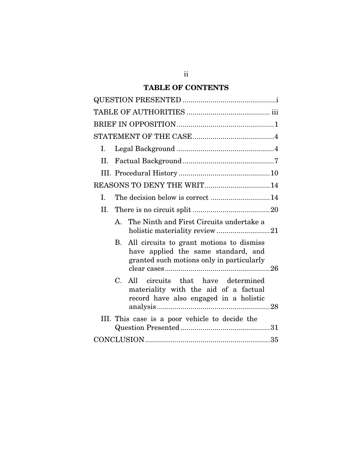# **TABLE OF CONTENTS**

| Ι.                                                                                                                                  |
|-------------------------------------------------------------------------------------------------------------------------------------|
| II.                                                                                                                                 |
|                                                                                                                                     |
| REASONS TO DENY THE WRIT14                                                                                                          |
| The decision below is correct 14<br>I.                                                                                              |
| II.                                                                                                                                 |
| The Ninth and First Circuits undertake a<br>$\mathbf{A}$<br>holistic materiality review21                                           |
| All circuits to grant motions to dismiss<br>В.<br>have applied the same standard, and<br>granted such motions only in particularly  |
| $C_{\cdot}$<br>All circuits that have determined<br>materiality with the aid of a factual<br>record have also engaged in a holistic |
| III. This case is a poor vehicle to decide the                                                                                      |
|                                                                                                                                     |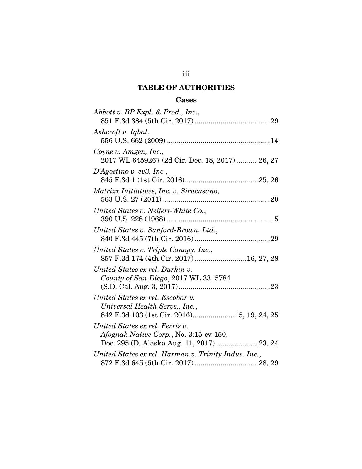# **TABLE OF AUTHORITIES**

# **Cases**

| Abbott v. BP Expl. & Prod., Inc.,                                                                                      |
|------------------------------------------------------------------------------------------------------------------------|
|                                                                                                                        |
| Ashcroft v. Iqbal,                                                                                                     |
| Coyne v. Amgen, Inc.,<br>2017 WL 6459267 (2d Cir. Dec. 18, 2017)26, 27                                                 |
| D'Agostino v. ev3, Inc.,                                                                                               |
| Matrixx Initiatives, Inc. v. Siracusano,                                                                               |
| United States v. Neifert-White Co.,                                                                                    |
| United States v. Sanford-Brown, Ltd.,                                                                                  |
| United States v. Triple Canopy, Inc.,<br>857 F.3d 174 (4th Cir. 2017)  16, 27, 28                                      |
| United States ex rel. Durkin v.<br>County of San Diego, 2017 WL 3315784                                                |
| United States ex rel. Escobar v.<br>Universal Health Servs., Inc.,<br>842 F.3d 103 (1st Cir. 2016) 15, 19, 24, 25      |
| United States ex rel. Ferris v.<br>Afognak Native Corp., No. 3:15-cv-150,<br>Doc. 295 (D. Alaska Aug. 11, 2017) 23, 24 |
| United States ex rel. Harman v. Trinity Indus. Inc.,                                                                   |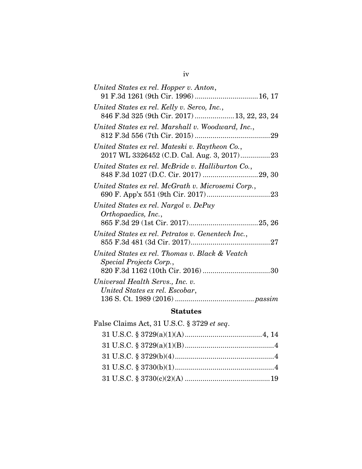| United States ex rel. Hopper v. Anton,<br>91 F.3d 1261 (9th Cir. 1996)  16, 17              |  |
|---------------------------------------------------------------------------------------------|--|
| United States ex rel. Kelly v. Serco, Inc.,<br>846 F.3d 325 (9th Cir. 2017)  13, 22, 23, 24 |  |
| United States ex rel. Marshall v. Woodward, Inc.,                                           |  |
| United States ex rel. Mateski v. Raytheon Co.,                                              |  |
| United States ex rel. McBride v. Halliburton Co.,                                           |  |
| United States ex rel. McGrath v. Microsemi Corp.,                                           |  |
| United States ex rel. Nargol v. DePuy<br>Orthopaedics, Inc.,                                |  |
| United States ex rel. Petratos v. Genentech Inc.,                                           |  |
| United States ex rel. Thomas v. Black & Veatch<br>Special Projects Corp.,                   |  |
| Universal Health Servs., Inc. v.<br>United States ex rel. Escobar,                          |  |
|                                                                                             |  |

# **Statutes**

| False Claims Act, 31 U.S.C. § 3729 et seq. |  |
|--------------------------------------------|--|
|                                            |  |
|                                            |  |
|                                            |  |
|                                            |  |
|                                            |  |
|                                            |  |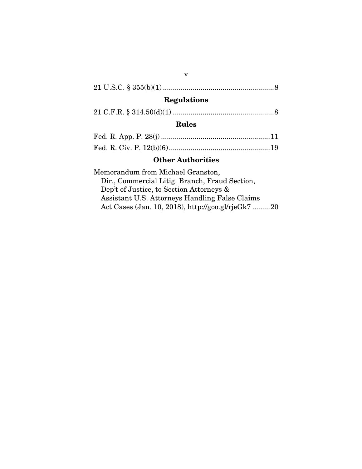# 21 U.S.C. § 355(b)(1) ........................................................ 8

# **Regulations**

|--|--|--|

## **Rules**

## **Other Authorities**

Memorandum from Michael Granston, Dir., Commercial Litig. Branch, Fraud Section, Dep't of Justice, to Section Attorneys & Assistant U.S. Attorneys Handling False Claims Act Cases (Jan. 10, 2018), http://goo.gl/rjeGk7 ......... 20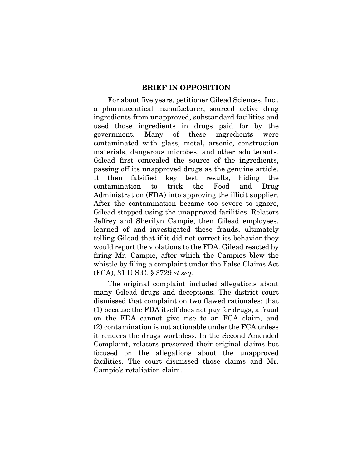### **BRIEF IN OPPOSITION**

For about five years, petitioner Gilead Sciences, Inc., a pharmaceutical manufacturer, sourced active drug ingredients from unapproved, substandard facilities and used those ingredients in drugs paid for by the government. Many of these ingredients were contaminated with glass, metal, arsenic, construction materials, dangerous microbes, and other adulterants. Gilead first concealed the source of the ingredients, passing off its unapproved drugs as the genuine article. It then falsified key test results, hiding the contamination to trick the Food and Drug Administration (FDA) into approving the illicit supplier. After the contamination became too severe to ignore, Gilead stopped using the unapproved facilities. Relators Jeffrey and Sherilyn Campie, then Gilead employees, learned of and investigated these frauds, ultimately telling Gilead that if it did not correct its behavior they would report the violations to the FDA. Gilead reacted by firing Mr. Campie, after which the Campies blew the whistle by filing a complaint under the False Claims Act (FCA), 31 U.S.C. § 3729 et seq.

The original complaint included allegations about many Gilead drugs and deceptions. The district court dismissed that complaint on two flawed rationales: that (1) because the FDA itself does not pay for drugs, a fraud on the FDA cannot give rise to an FCA claim, and (2) contamination is not actionable under the FCA unless it renders the drugs worthless. In the Second Amended Complaint, relators preserved their original claims but focused on the allegations about the unapproved facilities. The court dismissed those claims and Mr. Campie's retaliation claim.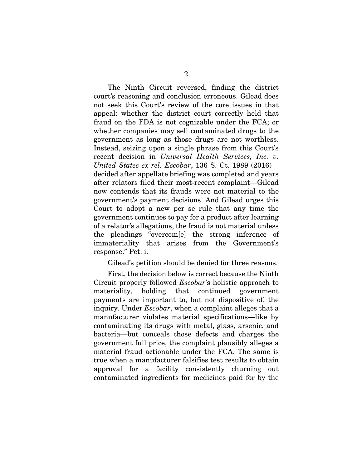The Ninth Circuit reversed, finding the district court's reasoning and conclusion erroneous. Gilead does not seek this Court's review of the core issues in that appeal: whether the district court correctly held that fraud on the FDA is not cognizable under the FCA; or whether companies may sell contaminated drugs to the government as long as those drugs are not worthless. Instead, seizing upon a single phrase from this Court's recent decision in Universal Health Services, Inc. v. United States ex rel. Escobar, 136 S. Ct. 1989 (2016) decided after appellate briefing was completed and years after relators filed their most-recent complaint—Gilead now contends that its frauds were not material to the government's payment decisions. And Gilead urges this Court to adopt a new per se rule that any time the government continues to pay for a product after learning of a relator's allegations, the fraud is not material unless the pleadings "overcom[e] the strong inference of immateriality that arises from the Government's response." Pet. i.

#### Gilead's petition should be denied for three reasons.

First, the decision below is correct because the Ninth Circuit properly followed Escobar's holistic approach to materiality, holding that continued government payments are important to, but not dispositive of, the inquiry. Under Escobar, when a complaint alleges that a manufacturer violates material specifications—like by contaminating its drugs with metal, glass, arsenic, and bacteria—but conceals those defects and charges the government full price, the complaint plausibly alleges a material fraud actionable under the FCA. The same is true when a manufacturer falsifies test results to obtain approval for a facility consistently churning out contaminated ingredients for medicines paid for by the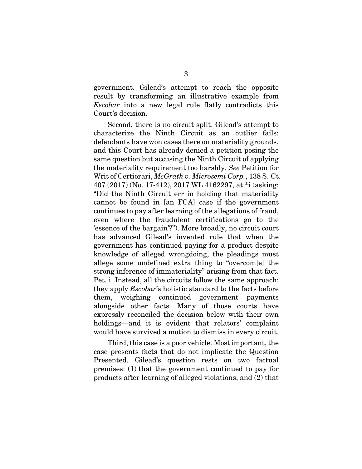government. Gilead's attempt to reach the opposite result by transforming an illustrative example from Escobar into a new legal rule flatly contradicts this Court's decision.

Second, there is no circuit split. Gilead's attempt to characterize the Ninth Circuit as an outlier fails: defendants have won cases there on materiality grounds, and this Court has already denied a petition posing the same question but accusing the Ninth Circuit of applying the materiality requirement too harshly. See Petition for Writ of Certiorari, McGrath v. Microsemi Corp., 138 S. Ct. 407 (2017) (No. 17-412), 2017 WL 4162297, at \*i (asking: "Did the Ninth Circuit err in holding that materiality cannot be found in [an FCA] case if the government continues to pay after learning of the allegations of fraud, even where the fraudulent certifications go to the 'essence of the bargain'?"). More broadly, no circuit court has advanced Gilead's invented rule that when the government has continued paying for a product despite knowledge of alleged wrongdoing, the pleadings must allege some undefined extra thing to "overcom[e] the strong inference of immateriality" arising from that fact. Pet. i. Instead, all the circuits follow the same approach: they apply Escobar's holistic standard to the facts before them, weighing continued government payments alongside other facts. Many of those courts have expressly reconciled the decision below with their own holdings—and it is evident that relators' complaint would have survived a motion to dismiss in every circuit.

Third, this case is a poor vehicle. Most important, the case presents facts that do not implicate the Question Presented. Gilead's question rests on two factual premises: (1) that the government continued to pay for products after learning of alleged violations; and (2) that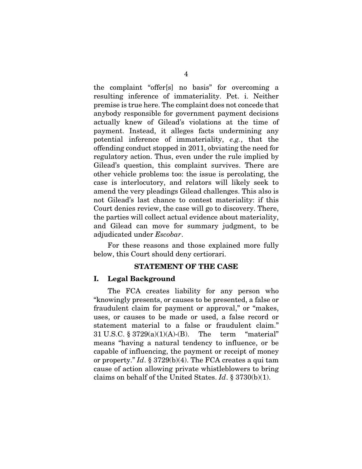the complaint "offer[s] no basis" for overcoming a resulting inference of immateriality. Pet. i. Neither premise is true here. The complaint does not concede that anybody responsible for government payment decisions actually knew of Gilead's violations at the time of payment. Instead, it alleges facts undermining any potential inference of immateriality, e.g., that the offending conduct stopped in 2011, obviating the need for regulatory action. Thus, even under the rule implied by Gilead's question, this complaint survives. There are other vehicle problems too: the issue is percolating, the case is interlocutory, and relators will likely seek to amend the very pleadings Gilead challenges. This also is not Gilead's last chance to contest materiality: if this Court denies review, the case will go to discovery. There, the parties will collect actual evidence about materiality, and Gilead can move for summary judgment, to be adjudicated under Escobar.

For these reasons and those explained more fully below, this Court should deny certiorari.

#### **STATEMENT OF THE CASE**

#### **I. Legal Background**

The FCA creates liability for any person who "knowingly presents, or causes to be presented, a false or fraudulent claim for payment or approval," or "makes, uses, or causes to be made or used, a false record or statement material to a false or fraudulent claim." 31 U.S.C. § 3729(a)(1)(A)-(B). The term "material" means "having a natural tendency to influence, or be capable of influencing, the payment or receipt of money or property."  $Id.$  § 3729(b)(4). The FCA creates a qui tam cause of action allowing private whistleblowers to bring claims on behalf of the United States. Id.  $\S 3730(b)(1)$ .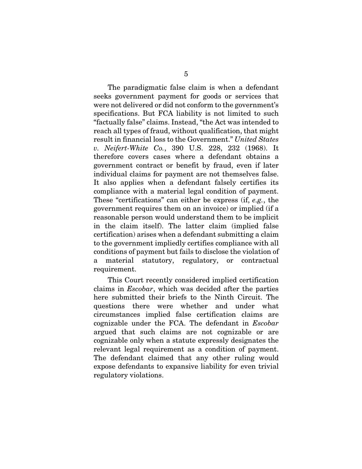The paradigmatic false claim is when a defendant seeks government payment for goods or services that were not delivered or did not conform to the government's specifications. But FCA liability is not limited to such "factually false" claims. Instead, "the Act was intended to reach all types of fraud, without qualification, that might result in financial loss to the Government." United States v. Neifert-White Co., 390 U.S. 228, 232 (1968). It therefore covers cases where a defendant obtains a government contract or benefit by fraud, even if later individual claims for payment are not themselves false. It also applies when a defendant falsely certifies its compliance with a material legal condition of payment. These "certifications" can either be express (if, e.g., the government requires them on an invoice) or implied (if a reasonable person would understand them to be implicit in the claim itself). The latter claim (implied false certification) arises when a defendant submitting a claim to the government impliedly certifies compliance with all conditions of payment but fails to disclose the violation of a material statutory, regulatory, or contractual requirement.

This Court recently considered implied certification claims in Escobar, which was decided after the parties here submitted their briefs to the Ninth Circuit. The questions there were whether and under what circumstances implied false certification claims are cognizable under the FCA. The defendant in Escobar argued that such claims are not cognizable or are cognizable only when a statute expressly designates the relevant legal requirement as a condition of payment. The defendant claimed that any other ruling would expose defendants to expansive liability for even trivial regulatory violations.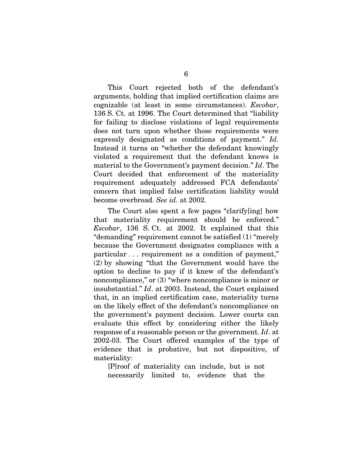This Court rejected both of the defendant's arguments, holding that implied certification claims are cognizable (at least in some circumstances). Escobar, 136 S. Ct. at 1996. The Court determined that "liability for failing to disclose violations of legal requirements does not turn upon whether those requirements were expressly designated as conditions of payment." Id. Instead it turns on "whether the defendant knowingly violated a requirement that the defendant knows is material to the Government's payment decision." Id. The Court decided that enforcement of the materiality requirement adequately addressed FCA defendants' concern that implied false certification liability would become overbroad. See id. at 2002.

The Court also spent a few pages "clarify[ing] how that materiality requirement should be enforced." Escobar, 136 S. Ct. at 2002. It explained that this "demanding" requirement cannot be satisfied (1) "merely because the Government designates compliance with a particular . . . requirement as a condition of payment," (2) by showing "that the Government would have the option to decline to pay if it knew of the defendant's noncompliance," or (3) "where noncompliance is minor or insubstantial." Id. at 2003. Instead, the Court explained that, in an implied certification case, materiality turns on the likely effect of the defendant's noncompliance on the government's payment decision. Lower courts can evaluate this effect by considering either the likely response of a reasonable person or the government. Id. at 2002-03. The Court offered examples of the type of evidence that is probative, but not dispositive, of materiality:

[P]roof of materiality can include, but is not necessarily limited to, evidence that the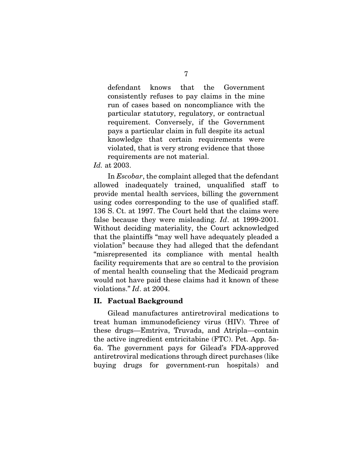defendant knows that the Government consistently refuses to pay claims in the mine run of cases based on noncompliance with the particular statutory, regulatory, or contractual requirement. Conversely, if the Government pays a particular claim in full despite its actual knowledge that certain requirements were violated, that is very strong evidence that those requirements are not material.

Id. at 2003.

In Escobar, the complaint alleged that the defendant allowed inadequately trained, unqualified staff to provide mental health services, billing the government using codes corresponding to the use of qualified staff. 136 S. Ct. at 1997. The Court held that the claims were false because they were misleading. Id. at 1999-2001. Without deciding materiality, the Court acknowledged that the plaintiffs "may well have adequately pleaded a violation" because they had alleged that the defendant "misrepresented its compliance with mental health facility requirements that are so central to the provision of mental health counseling that the Medicaid program would not have paid these claims had it known of these violations." Id. at 2004.

#### **II. Factual Background**

Gilead manufactures antiretroviral medications to treat human immunodeficiency virus (HIV). Three of these drugs—Emtriva, Truvada, and Atripla—contain the active ingredient emtricitabine (FTC). Pet. App. 5a-6a. The government pays for Gilead's FDA-approved antiretroviral medications through direct purchases (like buying drugs for government-run hospitals) and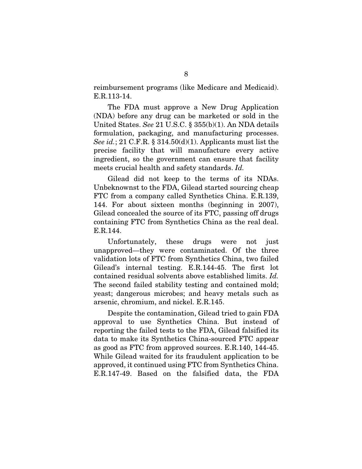reimbursement programs (like Medicare and Medicaid). E.R.113-14.

The FDA must approve a New Drug Application (NDA) before any drug can be marketed or sold in the United States. See 21 U.S.C. § 355(b)(1). An NDA details formulation, packaging, and manufacturing processes. See id.; 21 C.F.R. § 314.50(d)(1). Applicants must list the precise facility that will manufacture every active ingredient, so the government can ensure that facility meets crucial health and safety standards. Id.

Gilead did not keep to the terms of its NDAs. Unbeknownst to the FDA, Gilead started sourcing cheap FTC from a company called Synthetics China. E.R.139, 144. For about sixteen months (beginning in 2007), Gilead concealed the source of its FTC, passing off drugs containing FTC from Synthetics China as the real deal. E.R.144.

Unfortunately, these drugs were not just unapproved—they were contaminated. Of the three validation lots of FTC from Synthetics China, two failed Gilead's internal testing. E.R.144-45. The first lot contained residual solvents above established limits. Id. The second failed stability testing and contained mold; yeast; dangerous microbes; and heavy metals such as arsenic, chromium, and nickel. E.R.145.

Despite the contamination, Gilead tried to gain FDA approval to use Synthetics China. But instead of reporting the failed tests to the FDA, Gilead falsified its data to make its Synthetics China-sourced FTC appear as good as FTC from approved sources. E.R.140, 144-45. While Gilead waited for its fraudulent application to be approved, it continued using FTC from Synthetics China. E.R.147-49. Based on the falsified data, the FDA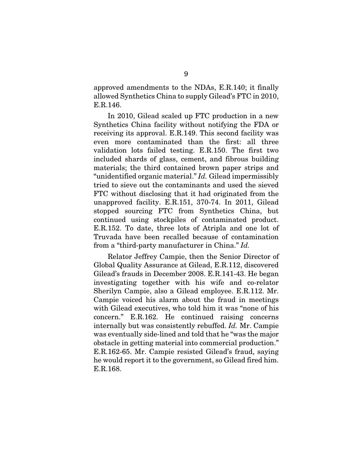approved amendments to the NDAs, E.R.140; it finally allowed Synthetics China to supply Gilead's FTC in 2010, E.R.146.

In 2010, Gilead scaled up FTC production in a new Synthetics China facility without notifying the FDA or receiving its approval. E.R.149. This second facility was even more contaminated than the first: all three validation lots failed testing. E.R.150. The first two included shards of glass, cement, and fibrous building materials; the third contained brown paper strips and "unidentified organic material." Id. Gilead impermissibly tried to sieve out the contaminants and used the sieved FTC without disclosing that it had originated from the unapproved facility. E.R.151, 370-74. In 2011, Gilead stopped sourcing FTC from Synthetics China, but continued using stockpiles of contaminated product. E.R.152. To date, three lots of Atripla and one lot of Truvada have been recalled because of contamination from a "third-party manufacturer in China." Id.

Relator Jeffrey Campie, then the Senior Director of Global Quality Assurance at Gilead, E.R.112, discovered Gilead's frauds in December 2008. E.R.141-43. He began investigating together with his wife and co-relator Sherilyn Campie, also a Gilead employee. E.R.112. Mr. Campie voiced his alarm about the fraud in meetings with Gilead executives, who told him it was "none of his concern." E.R.162. He continued raising concerns internally but was consistently rebuffed. Id. Mr. Campie was eventually side-lined and told that he "was the major obstacle in getting material into commercial production." E.R.162-65. Mr. Campie resisted Gilead's fraud, saying he would report it to the government, so Gilead fired him. E.R.168.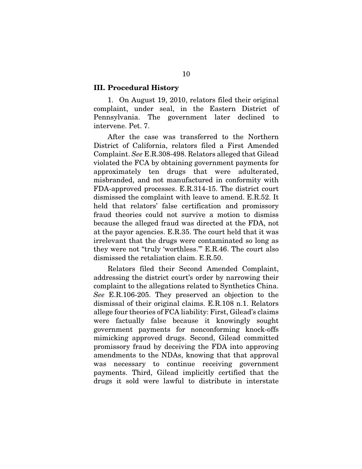#### **III. Procedural History**

1. On August 19, 2010, relators filed their original complaint, under seal, in the Eastern District of Pennsylvania. The government later declined to intervene. Pet. 7.

After the case was transferred to the Northern District of California, relators filed a First Amended Complaint. See E.R.308-498. Relators alleged that Gilead violated the FCA by obtaining government payments for approximately ten drugs that were adulterated, misbranded, and not manufactured in conformity with FDA-approved processes. E.R.314-15. The district court dismissed the complaint with leave to amend. E.R.52. It held that relators' false certification and promissory fraud theories could not survive a motion to dismiss because the alleged fraud was directed at the FDA, not at the payor agencies. E.R.35. The court held that it was irrelevant that the drugs were contaminated so long as they were not "truly 'worthless.'" E.R.46. The court also dismissed the retaliation claim. E.R.50.

Relators filed their Second Amended Complaint, addressing the district court's order by narrowing their complaint to the allegations related to Synthetics China. See E.R.106-205. They preserved an objection to the dismissal of their original claims. E.R.108 n.1. Relators allege four theories of FCA liability: First, Gilead's claims were factually false because it knowingly sought government payments for nonconforming knock-offs mimicking approved drugs. Second, Gilead committed promissory fraud by deceiving the FDA into approving amendments to the NDAs, knowing that that approval was necessary to continue receiving government payments. Third, Gilead implicitly certified that the drugs it sold were lawful to distribute in interstate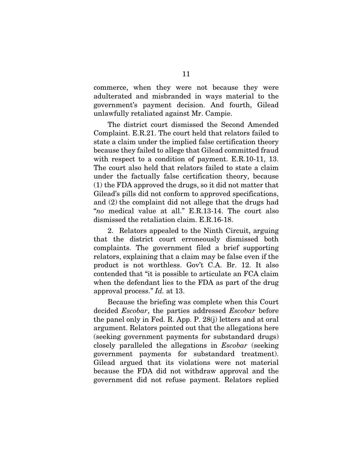commerce, when they were not because they were adulterated and misbranded in ways material to the government's payment decision. And fourth, Gilead unlawfully retaliated against Mr. Campie.

The district court dismissed the Second Amended Complaint. E.R.21. The court held that relators failed to state a claim under the implied false certification theory because they failed to allege that Gilead committed fraud with respect to a condition of payment. E.R.10-11, 13. The court also held that relators failed to state a claim under the factually false certification theory, because (1) the FDA approved the drugs, so it did not matter that Gilead's pills did not conform to approved specifications, and (2) the complaint did not allege that the drugs had "no medical value at all." E.R.13-14. The court also dismissed the retaliation claim. E.R.16-18.

2. Relators appealed to the Ninth Circuit, arguing that the district court erroneously dismissed both complaints. The government filed a brief supporting relators, explaining that a claim may be false even if the product is not worthless. Gov't C.A. Br. 12. It also contended that "it is possible to articulate an FCA claim when the defendant lies to the FDA as part of the drug approval process." Id. at 13.

Because the briefing was complete when this Court decided *Escobar*, the parties addressed *Escobar* before the panel only in Fed. R. App. P. 28(j) letters and at oral argument. Relators pointed out that the allegations here (seeking government payments for substandard drugs) closely paralleled the allegations in Escobar (seeking government payments for substandard treatment). Gilead argued that its violations were not material because the FDA did not withdraw approval and the government did not refuse payment. Relators replied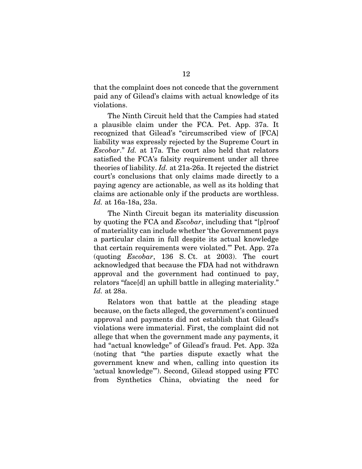that the complaint does not concede that the government paid any of Gilead's claims with actual knowledge of its violations.

The Ninth Circuit held that the Campies had stated a plausible claim under the FCA. Pet. App. 37a. It recognized that Gilead's "circumscribed view of [FCA] liability was expressly rejected by the Supreme Court in Escobar." Id. at 17a. The court also held that relators satisfied the FCA's falsity requirement under all three theories of liability. Id. at 21a-26a. It rejected the district court's conclusions that only claims made directly to a paying agency are actionable, as well as its holding that claims are actionable only if the products are worthless. Id. at 16a-18a, 23a.

The Ninth Circuit began its materiality discussion by quoting the FCA and Escobar, including that "[p]roof of materiality can include whether 'the Government pays a particular claim in full despite its actual knowledge that certain requirements were violated.'" Pet. App. 27a (quoting Escobar, 136 S. Ct. at 2003). The court acknowledged that because the FDA had not withdrawn approval and the government had continued to pay, relators "face[d] an uphill battle in alleging materiality." Id. at 28a.

Relators won that battle at the pleading stage because, on the facts alleged, the government's continued approval and payments did not establish that Gilead's violations were immaterial. First, the complaint did not allege that when the government made any payments, it had "actual knowledge" of Gilead's fraud. Pet. App. 32a (noting that "the parties dispute exactly what the government knew and when, calling into question its 'actual knowledge'"). Second, Gilead stopped using FTC from Synthetics China, obviating the need for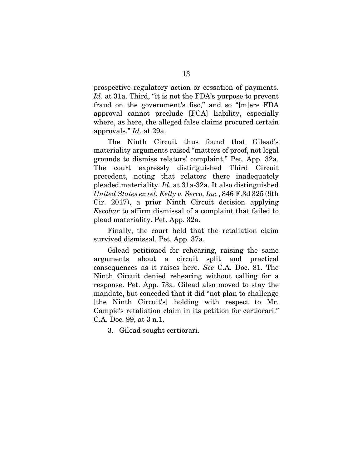prospective regulatory action or cessation of payments. Id. at 31a. Third, "it is not the FDA's purpose to prevent fraud on the government's fisc," and so "[m]ere FDA approval cannot preclude [FCA] liability, especially where, as here, the alleged false claims procured certain approvals." Id. at 29a.

The Ninth Circuit thus found that Gilead's materiality arguments raised "matters of proof, not legal grounds to dismiss relators' complaint." Pet. App. 32a. The court expressly distinguished Third Circuit precedent, noting that relators there inadequately pleaded materiality. Id. at 31a-32a. It also distinguished United States ex rel. Kelly v. Serco, Inc., 846 F.3d 325 (9th Cir. 2017), a prior Ninth Circuit decision applying Escobar to affirm dismissal of a complaint that failed to plead materiality. Pet. App. 32a.

Finally, the court held that the retaliation claim survived dismissal. Pet. App. 37a.

Gilead petitioned for rehearing, raising the same arguments about a circuit split and practical consequences as it raises here. See C.A. Doc. 81. The Ninth Circuit denied rehearing without calling for a response. Pet. App. 73a. Gilead also moved to stay the mandate, but conceded that it did "not plan to challenge [the Ninth Circuit's] holding with respect to Mr. Campie's retaliation claim in its petition for certiorari." C.A. Doc. 99, at 3 n.1.

3. Gilead sought certiorari.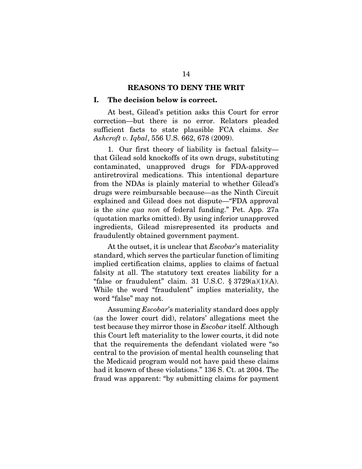#### **REASONS TO DENY THE WRIT**

#### **I. The decision below is correct.**

At best, Gilead's petition asks this Court for error correction—but there is no error. Relators pleaded sufficient facts to state plausible FCA claims. See Ashcroft v. Iqbal, 556 U.S. 662, 678 (2009).

1. Our first theory of liability is factual falsity that Gilead sold knockoffs of its own drugs, substituting contaminated, unapproved drugs for FDA-approved antiretroviral medications. This intentional departure from the NDAs is plainly material to whether Gilead's drugs were reimbursable because—as the Ninth Circuit explained and Gilead does not dispute—"FDA approval is the sine qua non of federal funding." Pet. App. 27a (quotation marks omitted). By using inferior unapproved ingredients, Gilead misrepresented its products and fraudulently obtained government payment.

At the outset, it is unclear that *Escobar*'s materiality standard, which serves the particular function of limiting implied certification claims, applies to claims of factual falsity at all. The statutory text creates liability for a "false or fraudulent" claim. 31 U.S.C. § 3729(a)(1)(A). While the word "fraudulent" implies materiality, the word "false" may not.

Assuming Escobar's materiality standard does apply (as the lower court did), relators' allegations meet the test because they mirror those in Escobar itself. Although this Court left materiality to the lower courts, it did note that the requirements the defendant violated were "so central to the provision of mental health counseling that the Medicaid program would not have paid these claims had it known of these violations." 136 S. Ct. at 2004. The fraud was apparent: "by submitting claims for payment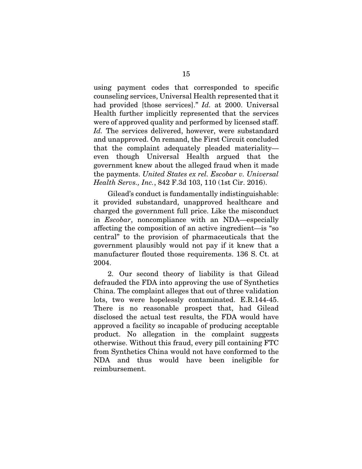using payment codes that corresponded to specific counseling services, Universal Health represented that it had provided [those services]." Id. at 2000. Universal Health further implicitly represented that the services were of approved quality and performed by licensed staff. Id. The services delivered, however, were substandard and unapproved. On remand, the First Circuit concluded that the complaint adequately pleaded materiality even though Universal Health argued that the government knew about the alleged fraud when it made the payments. United States ex rel. Escobar v. Universal Health Servs., Inc., 842 F.3d 103, 110 (1st Cir. 2016).

Gilead's conduct is fundamentally indistinguishable: it provided substandard, unapproved healthcare and charged the government full price. Like the misconduct in Escobar, noncompliance with an NDA—especially affecting the composition of an active ingredient—is "so central" to the provision of pharmaceuticals that the government plausibly would not pay if it knew that a manufacturer flouted those requirements. 136 S. Ct. at 2004.

2. Our second theory of liability is that Gilead defrauded the FDA into approving the use of Synthetics China. The complaint alleges that out of three validation lots, two were hopelessly contaminated. E.R.144-45. There is no reasonable prospect that, had Gilead disclosed the actual test results, the FDA would have approved a facility so incapable of producing acceptable product. No allegation in the complaint suggests otherwise. Without this fraud, every pill containing FTC from Synthetics China would not have conformed to the NDA and thus would have been ineligible for reimbursement.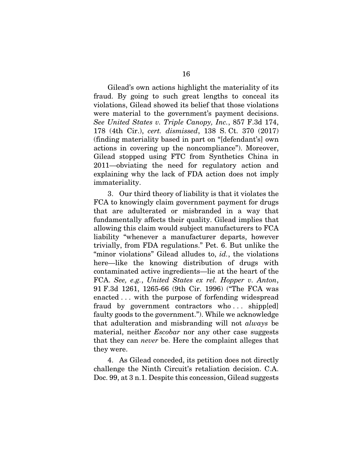Gilead's own actions highlight the materiality of its fraud. By going to such great lengths to conceal its violations, Gilead showed its belief that those violations were material to the government's payment decisions. See United States v. Triple Canopy, Inc., 857 F.3d 174, 178 (4th Cir.), cert. dismissed, 138 S. Ct. 370 (2017) (finding materiality based in part on "[defendant's] own actions in covering up the noncompliance"). Moreover, Gilead stopped using FTC from Synthetics China in 2011—obviating the need for regulatory action and explaining why the lack of FDA action does not imply immateriality.

3. Our third theory of liability is that it violates the FCA to knowingly claim government payment for drugs that are adulterated or misbranded in a way that fundamentally affects their quality. Gilead implies that allowing this claim would subject manufacturers to FCA liability "whenever a manufacturer departs, however trivially, from FDA regulations." Pet. 6. But unlike the "minor violations" Gilead alludes to, *id.*, the violations here—like the knowing distribution of drugs with contaminated active ingredients—lie at the heart of the FCA. See, e.g., United States ex rel. Hopper v. Anton, 91 F.3d 1261, 1265-66 (9th Cir. 1996) ("The FCA was enacted . . . with the purpose of forfending widespread fraud by government contractors who ... shipp[ed] faulty goods to the government."). While we acknowledge that adulteration and misbranding will not always be material, neither *Escobar* nor any other case suggests that they can never be. Here the complaint alleges that they were.

4. As Gilead conceded, its petition does not directly challenge the Ninth Circuit's retaliation decision. C.A. Doc. 99, at 3 n.1. Despite this concession, Gilead suggests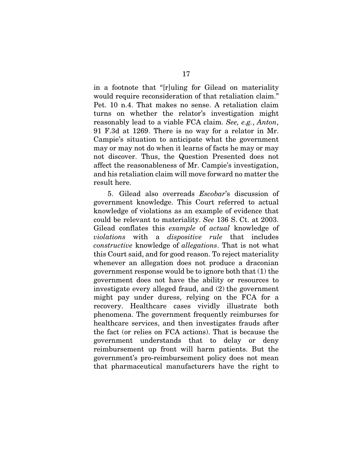in a footnote that "[r]uling for Gilead on materiality would require reconsideration of that retaliation claim." Pet. 10 n.4. That makes no sense. A retaliation claim turns on whether the relator's investigation might reasonably lead to a viable FCA claim. See, e.g., Anton, 91 F.3d at 1269. There is no way for a relator in Mr. Campie's situation to anticipate what the government may or may not do when it learns of facts he may or may not discover. Thus, the Question Presented does not affect the reasonableness of Mr. Campie's investigation, and his retaliation claim will move forward no matter the result here.

5. Gilead also overreads Escobar's discussion of government knowledge. This Court referred to actual knowledge of violations as an example of evidence that could be relevant to materiality. See 136 S. Ct. at 2003. Gilead conflates this example of actual knowledge of violations with a dispositive rule that includes constructive knowledge of allegations. That is not what this Court said, and for good reason. To reject materiality whenever an allegation does not produce a draconian government response would be to ignore both that (1) the government does not have the ability or resources to investigate every alleged fraud, and (2) the government might pay under duress, relying on the FCA for a recovery. Healthcare cases vividly illustrate both phenomena. The government frequently reimburses for healthcare services, and then investigates frauds after the fact (or relies on FCA actions). That is because the government understands that to delay or deny reimbursement up front will harm patients. But the government's pro-reimbursement policy does not mean that pharmaceutical manufacturers have the right to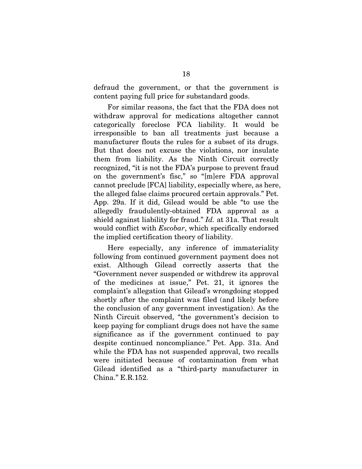defraud the government, or that the government is content paying full price for substandard goods.

For similar reasons, the fact that the FDA does not withdraw approval for medications altogether cannot categorically foreclose FCA liability. It would be irresponsible to ban all treatments just because a manufacturer flouts the rules for a subset of its drugs. But that does not excuse the violations, nor insulate them from liability. As the Ninth Circuit correctly recognized, "it is not the FDA's purpose to prevent fraud on the government's fisc," so "[m]ere FDA approval cannot preclude [FCA] liability, especially where, as here, the alleged false claims procured certain approvals." Pet. App. 29a. If it did, Gilead would be able "to use the allegedly fraudulently-obtained FDA approval as a shield against liability for fraud." *Id.* at 31a. That result would conflict with *Escobar*, which specifically endorsed the implied certification theory of liability.

Here especially, any inference of immateriality following from continued government payment does not exist. Although Gilead correctly asserts that the "Government never suspended or withdrew its approval of the medicines at issue," Pet. 21, it ignores the complaint's allegation that Gilead's wrongdoing stopped shortly after the complaint was filed (and likely before the conclusion of any government investigation). As the Ninth Circuit observed, "the government's decision to keep paying for compliant drugs does not have the same significance as if the government continued to pay despite continued noncompliance." Pet. App. 31a. And while the FDA has not suspended approval, two recalls were initiated because of contamination from what Gilead identified as a "third-party manufacturer in China." E.R.152.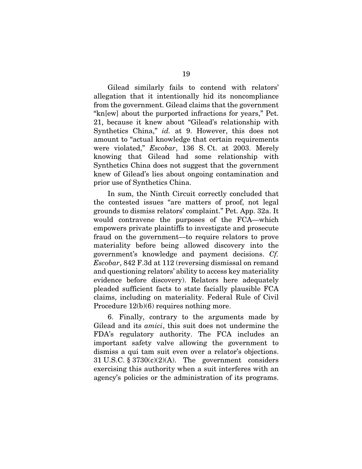Gilead similarly fails to contend with relators' allegation that it intentionally hid its noncompliance from the government. Gilead claims that the government "kn[ew] about the purported infractions for years," Pet. 21, because it knew about "Gilead's relationship with Synthetics China," id. at 9. However, this does not amount to "actual knowledge that certain requirements were violated," Escobar, 136 S. Ct. at 2003. Merely knowing that Gilead had some relationship with Synthetics China does not suggest that the government knew of Gilead's lies about ongoing contamination and prior use of Synthetics China.

In sum, the Ninth Circuit correctly concluded that the contested issues "are matters of proof, not legal grounds to dismiss relators' complaint." Pet. App. 32a. It would contravene the purposes of the FCA—which empowers private plaintiffs to investigate and prosecute fraud on the government—to require relators to prove materiality before being allowed discovery into the government's knowledge and payment decisions. Cf. Escobar, 842 F.3d at 112 (reversing dismissal on remand and questioning relators' ability to access key materiality evidence before discovery). Relators here adequately pleaded sufficient facts to state facially plausible FCA claims, including on materiality. Federal Rule of Civil Procedure 12(b)(6) requires nothing more.

6. Finally, contrary to the arguments made by Gilead and its amici, this suit does not undermine the FDA's regulatory authority. The FCA includes an important safety valve allowing the government to dismiss a qui tam suit even over a relator's objections. 31 U.S.C.  $\S 3730(c)(2)(A)$ . The government considers exercising this authority when a suit interferes with an agency's policies or the administration of its programs.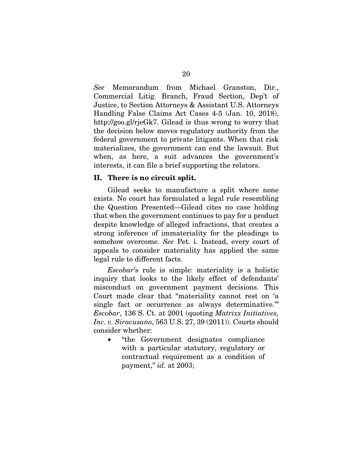See Memorandum from Michael Granston, Dir., Commercial Litig. Branch, Fraud Section, Dep't of Justice, to Section Attorneys & Assistant U.S. Attorneys Handling False Claims Act Cases 4-5 (Jan. 10, 2018), http://goo.gl/rjeGk7. Gilead is thus wrong to worry that the decision below moves regulatory authority from the federal government to private litigants. When that risk materializes, the government can end the lawsuit. But when, as here, a suit advances the government's interests, it can file a brief supporting the relators.

#### **II. There is no circuit split.**

Gilead seeks to manufacture a split where none exists. No court has formulated a legal rule resembling the Question Presented—Gilead cites no case holding that when the government continues to pay for a product despite knowledge of alleged infractions, that creates a strong inference of immateriality for the pleadings to somehow overcome. See Pet. i. Instead, every court of appeals to consider materiality has applied the same legal rule to different facts.

Escobar's rule is simple: materiality is a holistic inquiry that looks to the likely effect of defendants' misconduct on government payment decisions. This Court made clear that "materiality cannot rest on 'a single fact or occurrence as always determinative.'" Escobar, 136 S. Ct. at 2001 (quoting Matrixx Initiatives, Inc. v. Siracusano, 563 U.S. 27, 39 (2011)). Courts should consider whether:

• "the Government designates compliance with a particular statutory, regulatory or contractual requirement as a condition of payment," id. at 2003;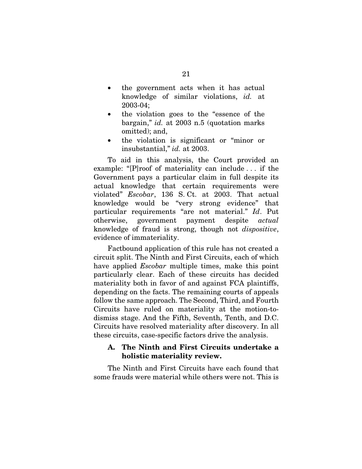- the government acts when it has actual knowledge of similar violations, id. at 2003-04;
- the violation goes to the "essence of the bargain," id. at 2003 n.5 (quotation marks omitted); and,
- the violation is significant or "minor or insubstantial," id. at 2003.

To aid in this analysis, the Court provided an example: "[P]roof of materiality can include . . . if the Government pays a particular claim in full despite its actual knowledge that certain requirements were violated" Escobar, 136 S. Ct. at 2003. That actual knowledge would be "very strong evidence" that particular requirements "are not material." Id. Put otherwise, government payment despite actual knowledge of fraud is strong, though not dispositive, evidence of immateriality.

Factbound application of this rule has not created a circuit split. The Ninth and First Circuits, each of which have applied *Escobar* multiple times, make this point particularly clear. Each of these circuits has decided materiality both in favor of and against FCA plaintiffs, depending on the facts. The remaining courts of appeals follow the same approach. The Second, Third, and Fourth Circuits have ruled on materiality at the motion-todismiss stage. And the Fifth, Seventh, Tenth, and D.C. Circuits have resolved materiality after discovery. In all these circuits, case-specific factors drive the analysis.

## **A. The Ninth and First Circuits undertake a holistic materiality review.**

The Ninth and First Circuits have each found that some frauds were material while others were not. This is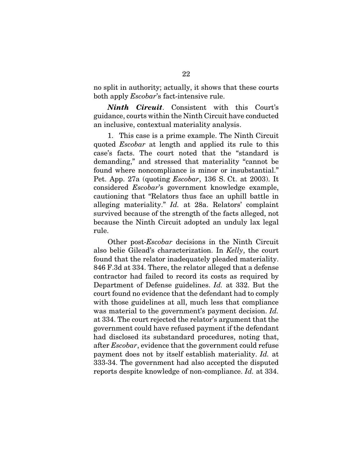no split in authority; actually, it shows that these courts both apply Escobar's fact-intensive rule.

*Ninth Circuit*. Consistent with this Court's guidance, courts within the Ninth Circuit have conducted an inclusive, contextual materiality analysis.

1. This case is a prime example. The Ninth Circuit quoted Escobar at length and applied its rule to this case's facts. The court noted that the "standard is demanding," and stressed that materiality "cannot be found where noncompliance is minor or insubstantial." Pet. App. 27a (quoting Escobar, 136 S. Ct. at 2003). It considered Escobar's government knowledge example, cautioning that "Relators thus face an uphill battle in alleging materiality." Id. at 28a. Relators' complaint survived because of the strength of the facts alleged, not because the Ninth Circuit adopted an unduly lax legal rule.

Other post-Escobar decisions in the Ninth Circuit also belie Gilead's characterization. In Kelly, the court found that the relator inadequately pleaded materiality. 846 F.3d at 334. There, the relator alleged that a defense contractor had failed to record its costs as required by Department of Defense guidelines. Id. at 332. But the court found no evidence that the defendant had to comply with those guidelines at all, much less that compliance was material to the government's payment decision. Id. at 334. The court rejected the relator's argument that the government could have refused payment if the defendant had disclosed its substandard procedures, noting that, after Escobar, evidence that the government could refuse payment does not by itself establish materiality. Id. at 333-34. The government had also accepted the disputed reports despite knowledge of non-compliance. Id. at 334.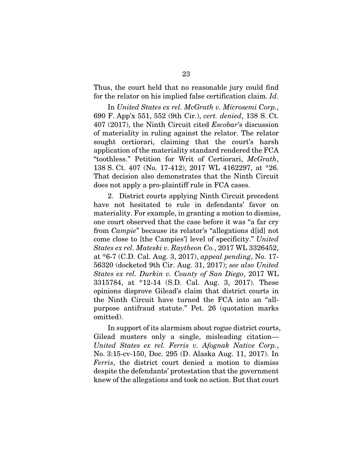Thus, the court held that no reasonable jury could find for the relator on his implied false certification claim. Id.

In United States ex rel. McGrath v. Microsemi Corp., 690 F. App'x 551, 552 (9th Cir.), cert. denied, 138 S. Ct. 407 (2017), the Ninth Circuit cited Escobar's discussion of materiality in ruling against the relator. The relator sought certiorari, claiming that the court's harsh application of the materiality standard rendered the FCA "toothless." Petition for Writ of Certiorari, McGrath, 138 S. Ct. 407 (No. 17-412), 2017 WL 4162297, at \*26. That decision also demonstrates that the Ninth Circuit does not apply a pro-plaintiff rule in FCA cases.

2. District courts applying Ninth Circuit precedent have not hesitated to rule in defendants' favor on materiality. For example, in granting a motion to dismiss, one court observed that the case before it was "a far cry from Campie" because its relator's "allegations d[id] not come close to [the Campies'] level of specificity." United States ex rel. Mateski v. Raytheon Co., 2017 WL 3326452, at \*6-7 (C.D. Cal. Aug. 3, 2017), appeal pending, No. 17- 56320 (docketed 9th Cir. Aug. 31, 2017); see also United States ex rel. Durkin v. County of San Diego, 2017 WL 3315784, at \*12-14 (S.D. Cal. Aug. 3, 2017). These opinions disprove Gilead's claim that district courts in the Ninth Circuit have turned the FCA into an "allpurpose antifraud statute." Pet. 26 (quotation marks omitted).

In support of its alarmism about rogue district courts, Gilead musters only a single, misleading citation— United States ex rel. Ferris v. Afognak Native Corp., No. 3:15-cv-150, Doc. 295 (D. Alaska Aug. 11, 2017). In Ferris, the district court denied a motion to dismiss despite the defendants' protestation that the government knew of the allegations and took no action. But that court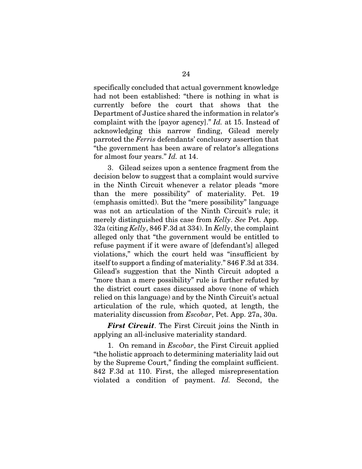specifically concluded that actual government knowledge had not been established: "there is nothing in what is currently before the court that shows that the Department of Justice shared the information in relator's complaint with the [payor agency]." Id. at 15. Instead of acknowledging this narrow finding, Gilead merely parroted the Ferris defendants' conclusory assertion that "the government has been aware of relator's allegations for almost four years." Id. at 14.

3. Gilead seizes upon a sentence fragment from the decision below to suggest that a complaint would survive in the Ninth Circuit whenever a relator pleads "more than the mere possibility" of materiality. Pet. 19 (emphasis omitted). But the "mere possibility" language was not an articulation of the Ninth Circuit's rule; it merely distinguished this case from *Kelly*. See Pet. App. 32a (citing Kelly, 846 F.3d at 334). In Kelly, the complaint alleged only that "the government would be entitled to refuse payment if it were aware of [defendant's] alleged violations," which the court held was "insufficient by itself to support a finding of materiality." 846 F.3d at 334. Gilead's suggestion that the Ninth Circuit adopted a "more than a mere possibility" rule is further refuted by the district court cases discussed above (none of which relied on this language) and by the Ninth Circuit's actual articulation of the rule, which quoted, at length, the materiality discussion from Escobar, Pet. App. 27a, 30a.

*First Circuit*. The First Circuit joins the Ninth in applying an all-inclusive materiality standard.

1. On remand in Escobar, the First Circuit applied "the holistic approach to determining materiality laid out by the Supreme Court," finding the complaint sufficient. 842 F.3d at 110. First, the alleged misrepresentation violated a condition of payment. Id. Second, the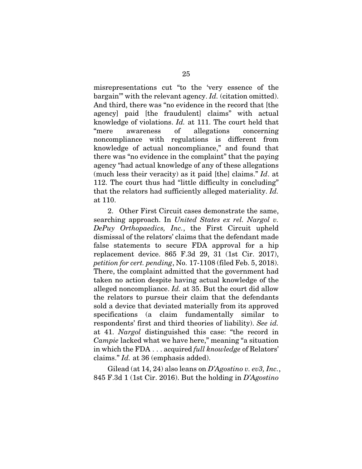misrepresentations cut "to the 'very essence of the bargain'" with the relevant agency. Id. (citation omitted). And third, there was "no evidence in the record that [the agency] paid [the fraudulent] claims" with actual knowledge of violations. Id. at 111. The court held that "mere awareness of allegations concerning noncompliance with regulations is different from knowledge of actual noncompliance," and found that there was "no evidence in the complaint" that the paying agency "had actual knowledge of any of these allegations (much less their veracity) as it paid [the] claims." Id. at 112. The court thus had "little difficulty in concluding" that the relators had sufficiently alleged materiality. Id. at 110.

2. Other First Circuit cases demonstrate the same, searching approach. In United States ex rel. Nargol v. DePuy Orthopaedics, Inc., the First Circuit upheld dismissal of the relators' claims that the defendant made false statements to secure FDA approval for a hip replacement device. 865 F.3d 29, 31 (1st Cir. 2017), petition for cert. pending, No. 17-1108 (filed Feb. 5, 2018). There, the complaint admitted that the government had taken no action despite having actual knowledge of the alleged noncompliance. Id. at 35. But the court did allow the relators to pursue their claim that the defendants sold a device that deviated materially from its approved specifications (a claim fundamentally similar to respondents' first and third theories of liability). See id. at 41. Nargol distinguished this case: "the record in Campie lacked what we have here," meaning "a situation in which the FDA . . . acquired full knowledge of Relators' claims." Id. at 36 (emphasis added).

Gilead (at  $14, 24$ ) also leans on D'Agostino v. ev3, Inc., 845 F.3d 1 (1st Cir. 2016). But the holding in D'Agostino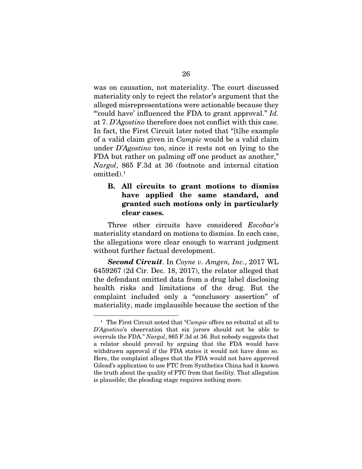was on causation, not materiality. The court discussed materiality only to reject the relator's argument that the alleged misrepresentations were actionable because they "could have' influenced the FDA to grant approval." Id. at 7. D'Agostino therefore does not conflict with this case. In fact, the First Circuit later noted that "[t]he example of a valid claim given in Campie would be a valid claim under D'Agostino too, since it rests not on lying to the FDA but rather on palming off one product as another," Nargol, 865 F.3d at 36 (footnote and internal citation omitted).1

# **B. All circuits to grant motions to dismiss have applied the same standard, and granted such motions only in particularly clear cases.**

Three other circuits have considered *Escobar's* materiality standard on motions to dismiss. In each case, the allegations were clear enough to warrant judgment without further factual development.

*Second Circuit*. In Coyne v. Amgen, Inc., 2017 WL 6459267 (2d Cir. Dec. 18, 2017), the relator alleged that the defendant omitted data from a drug label disclosing health risks and limitations of the drug. But the complaint included only a "conclusory assertion" of materiality, made implausible because the section of the

 $\overline{a}$ 

<sup>&</sup>lt;sup>1</sup> The First Circuit noted that "Campie offers no rebuttal at all to D'Agostino's observation that six jurors should not be able to overrule the FDA." Nargol, 865 F.3d at 36. But nobody suggests that a relator should prevail by arguing that the FDA would have withdrawn approval if the FDA states it would not have done so. Here, the complaint alleges that the FDA would not have approved Gilead's application to use FTC from Synthetics China had it known the truth about the quality of FTC from that facility. That allegation is plausible; the pleading stage requires nothing more.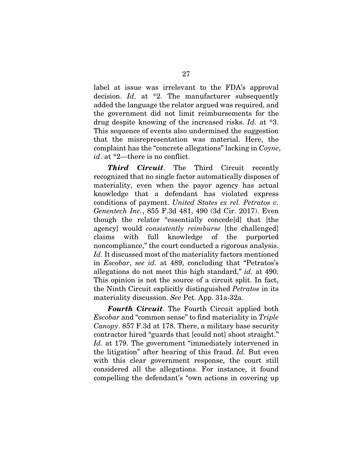label at issue was irrelevant to the FDA's approval decision. Id. at \*2. The manufacturer subsequently added the language the relator argued was required, and the government did not limit reimbursements for the drug despite knowing of the increased risks. Id. at \*3. This sequence of events also undermined the suggestion that the misrepresentation was material. Here, the complaint has the "concrete allegations" lacking in Coyne, id. at \*2—there is no conflict.

*Third Circuit*. The Third Circuit recently recognized that no single factor automatically disposes of materiality, even when the payor agency has actual knowledge that a defendant has violated express conditions of payment. United States ex rel. Petratos v. Genentech Inc., 855 F.3d 481, 490 (3d Cir. 2017). Even though the relator "essentially concede[d] that [the agency] would consistently reimburse [the challenged] claims with full knowledge of the purported noncompliance," the court conducted a rigorous analysis. Id. It discussed most of the materiality factors mentioned in Escobar, see id. at 489, concluding that "Petratos's allegations do not meet this high standard," id. at 490. This opinion is not the source of a circuit split. In fact, the Ninth Circuit explicitly distinguished Petratos in its materiality discussion. See Pet. App. 31a-32a.

*Fourth Circuit*. The Fourth Circuit applied both Escobar and "common sense" to find materiality in Triple Canopy. 857 F.3d at 178. There, a military base security contractor hired "guards that [could not] shoot straight." Id. at 179. The government "immediately intervened in the litigation" after hearing of this fraud. Id. But even with this clear government response, the court still considered all the allegations. For instance, it found compelling the defendant's "own actions in covering up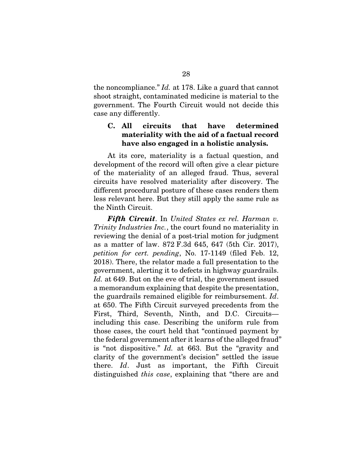the noncompliance." Id. at 178. Like a guard that cannot shoot straight, contaminated medicine is material to the government. The Fourth Circuit would not decide this case any differently.

# **C. All circuits that have determined materiality with the aid of a factual record have also engaged in a holistic analysis.**

At its core, materiality is a factual question, and development of the record will often give a clear picture of the materiality of an alleged fraud. Thus, several circuits have resolved materiality after discovery. The different procedural posture of these cases renders them less relevant here. But they still apply the same rule as the Ninth Circuit.

*Fifth Circuit*. In United States ex rel. Harman v. Trinity Industries Inc., the court found no materiality in reviewing the denial of a post-trial motion for judgment as a matter of law. 872 F.3d 645, 647 (5th Cir. 2017), petition for cert. pending, No. 17-1149 (filed Feb. 12, 2018). There, the relator made a full presentation to the government, alerting it to defects in highway guardrails. Id. at 649. But on the eve of trial, the government issued a memorandum explaining that despite the presentation, the guardrails remained eligible for reimbursement. Id. at 650. The Fifth Circuit surveyed precedents from the First, Third, Seventh, Ninth, and D.C. Circuits including this case. Describing the uniform rule from those cases, the court held that "continued payment by the federal government after it learns of the alleged fraud" is "not dispositive." Id. at 663. But the "gravity and clarity of the government's decision" settled the issue there. Id. Just as important, the Fifth Circuit distinguished *this case*, explaining that "there are and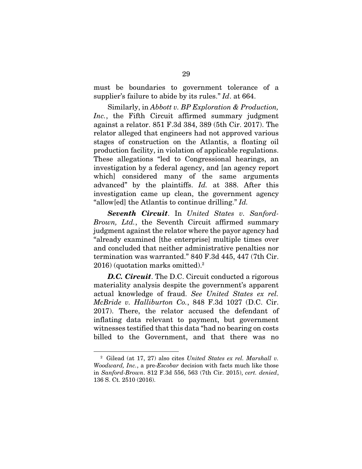must be boundaries to government tolerance of a supplier's failure to abide by its rules." Id. at 664.

Similarly, in Abbott v. BP Exploration & Production, Inc., the Fifth Circuit affirmed summary judgment against a relator. 851 F.3d 384, 389 (5th Cir. 2017). The relator alleged that engineers had not approved various stages of construction on the Atlantis, a floating oil production facility, in violation of applicable regulations. These allegations "led to Congressional hearings, an investigation by a federal agency, and [an agency report which] considered many of the same arguments advanced" by the plaintiffs. Id. at 388. After this investigation came up clean, the government agency "allow[ed] the Atlantis to continue drilling." Id.

*Seventh Circuit*. In United States v. Sanford-Brown, Ltd., the Seventh Circuit affirmed summary judgment against the relator where the payor agency had "already examined [the enterprise] multiple times over and concluded that neither administrative penalties nor termination was warranted." 840 F.3d 445, 447 (7th Cir. 2016) (quotation marks omitted).2

*D.C. Circuit*. The D.C. Circuit conducted a rigorous materiality analysis despite the government's apparent actual knowledge of fraud. See United States ex rel. McBride v. Halliburton Co., 848 F.3d 1027 (D.C. Cir. 2017). There, the relator accused the defendant of inflating data relevant to payment, but government witnesses testified that this data "had no bearing on costs billed to the Government, and that there was no

 $\overline{a}$ 

<sup>&</sup>lt;sup>2</sup> Gilead (at 17, 27) also cites United States ex rel. Marshall v. Woodward, Inc., a pre-Escobar decision with facts much like those in Sanford-Brown. 812 F.3d 556, 563 (7th Cir. 2015), cert. denied, 136 S. Ct. 2510 (2016).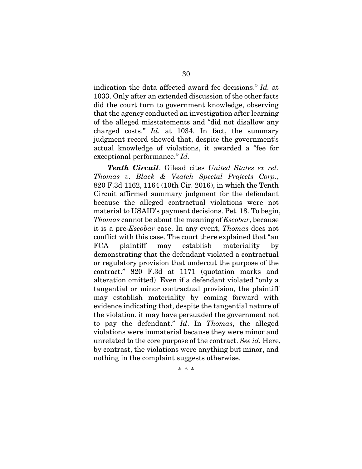indication the data affected award fee decisions." Id. at 1033. Only after an extended discussion of the other facts did the court turn to government knowledge, observing that the agency conducted an investigation after learning of the alleged misstatements and "did not disallow any charged costs." Id. at 1034. In fact, the summary judgment record showed that, despite the government's actual knowledge of violations, it awarded a "fee for exceptional performance." Id.

*Tenth Circuit*. Gilead cites United States ex rel. Thomas v. Black & Veatch Special Projects Corp., 820 F.3d 1162, 1164 (10th Cir. 2016), in which the Tenth Circuit affirmed summary judgment for the defendant because the alleged contractual violations were not material to USAID's payment decisions. Pet. 18. To begin, Thomas cannot be about the meaning of Escobar, because it is a pre-Escobar case. In any event, Thomas does not conflict with this case. The court there explained that "an FCA plaintiff may establish materiality by demonstrating that the defendant violated a contractual or regulatory provision that undercut the purpose of the contract." 820 F.3d at 1171 (quotation marks and alteration omitted). Even if a defendant violated "only a tangential or minor contractual provision, the plaintiff may establish materiality by coming forward with evidence indicating that, despite the tangential nature of the violation, it may have persuaded the government not to pay the defendant." Id. In Thomas, the alleged violations were immaterial because they were minor and unrelated to the core purpose of the contract. See id. Here, by contrast, the violations were anything but minor, and nothing in the complaint suggests otherwise.

\* \* \*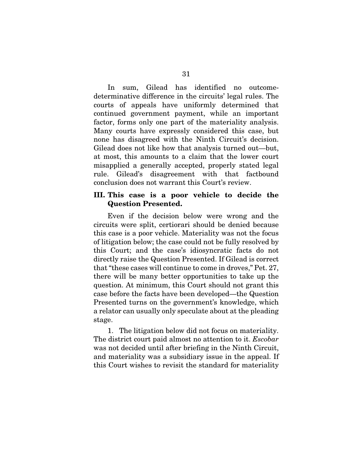In sum, Gilead has identified no outcomedeterminative difference in the circuits' legal rules. The courts of appeals have uniformly determined that continued government payment, while an important factor, forms only one part of the materiality analysis. Many courts have expressly considered this case, but none has disagreed with the Ninth Circuit's decision. Gilead does not like how that analysis turned out—but, at most, this amounts to a claim that the lower court misapplied a generally accepted, properly stated legal rule. Gilead's disagreement with that factbound conclusion does not warrant this Court's review.

## **III. This case is a poor vehicle to decide the Question Presented.**

Even if the decision below were wrong and the circuits were split, certiorari should be denied because this case is a poor vehicle. Materiality was not the focus of litigation below; the case could not be fully resolved by this Court; and the case's idiosyncratic facts do not directly raise the Question Presented. If Gilead is correct that "these cases will continue to come in droves," Pet. 27, there will be many better opportunities to take up the question. At minimum, this Court should not grant this case before the facts have been developed—the Question Presented turns on the government's knowledge, which a relator can usually only speculate about at the pleading stage.

1. The litigation below did not focus on materiality. The district court paid almost no attention to it. Escobar was not decided until after briefing in the Ninth Circuit, and materiality was a subsidiary issue in the appeal. If this Court wishes to revisit the standard for materiality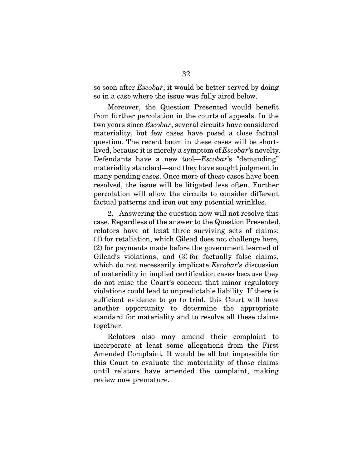so soon after Escobar, it would be better served by doing so in a case where the issue was fully aired below.

Moreover, the Question Presented would benefit from further percolation in the courts of appeals. In the two years since Escobar, several circuits have considered materiality, but few cases have posed a close factual question. The recent boom in these cases will be shortlived, because it is merely a symptom of Escobar's novelty. Defendants have a new tool—*Escobar*'s "demanding" materiality standard—and they have sought judgment in many pending cases. Once more of these cases have been resolved, the issue will be litigated less often. Further percolation will allow the circuits to consider different factual patterns and iron out any potential wrinkles.

2. Answering the question now will not resolve this case. Regardless of the answer to the Question Presented, relators have at least three surviving sets of claims: (1) for retaliation, which Gilead does not challenge here, (2) for payments made before the government learned of Gilead's violations, and (3) for factually false claims, which do not necessarily implicate *Escobar's* discussion of materiality in implied certification cases because they do not raise the Court's concern that minor regulatory violations could lead to unpredictable liability. If there is sufficient evidence to go to trial, this Court will have another opportunity to determine the appropriate standard for materiality and to resolve all these claims together.

Relators also may amend their complaint to incorporate at least some allegations from the First Amended Complaint. It would be all but impossible for this Court to evaluate the materiality of those claims until relators have amended the complaint, making review now premature.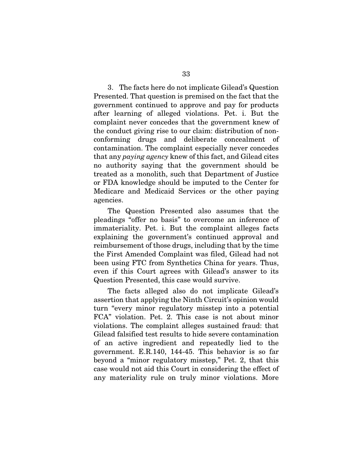3. The facts here do not implicate Gilead's Question Presented. That question is premised on the fact that the government continued to approve and pay for products after learning of alleged violations. Pet. i. But the complaint never concedes that the government knew of the conduct giving rise to our claim: distribution of nonconforming drugs and deliberate concealment of contamination. The complaint especially never concedes that any paying agency knew of this fact, and Gilead cites no authority saying that the government should be treated as a monolith, such that Department of Justice or FDA knowledge should be imputed to the Center for Medicare and Medicaid Services or the other paying agencies.

The Question Presented also assumes that the pleadings "offer no basis" to overcome an inference of immateriality. Pet. i. But the complaint alleges facts explaining the government's continued approval and reimbursement of those drugs, including that by the time the First Amended Complaint was filed, Gilead had not been using FTC from Synthetics China for years. Thus, even if this Court agrees with Gilead's answer to its Question Presented, this case would survive.

The facts alleged also do not implicate Gilead's assertion that applying the Ninth Circuit's opinion would turn "every minor regulatory misstep into a potential FCA" violation. Pet. 2. This case is not about minor violations. The complaint alleges sustained fraud: that Gilead falsified test results to hide severe contamination of an active ingredient and repeatedly lied to the government. E.R.140, 144-45. This behavior is so far beyond a "minor regulatory misstep," Pet. 2, that this case would not aid this Court in considering the effect of any materiality rule on truly minor violations. More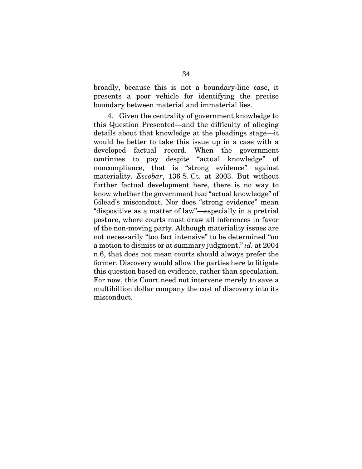broadly, because this is not a boundary-line case, it presents a poor vehicle for identifying the precise boundary between material and immaterial lies.

4. Given the centrality of government knowledge to this Question Presented—and the difficulty of alleging details about that knowledge at the pleadings stage—it would be better to take this issue up in a case with a developed factual record. When the government continues to pay despite "actual knowledge" of noncompliance, that is "strong evidence" against materiality. Escobar, 136 S. Ct. at 2003. But without further factual development here, there is no way to know whether the government had "actual knowledge" of Gilead's misconduct. Nor does "strong evidence" mean "dispositive as a matter of law"—especially in a pretrial posture, where courts must draw all inferences in favor of the non-moving party. Although materiality issues are not necessarily "too fact intensive" to be determined "on a motion to dismiss or at summary judgment," id. at 2004 n.6, that does not mean courts should always prefer the former. Discovery would allow the parties here to litigate this question based on evidence, rather than speculation. For now, this Court need not intervene merely to save a multibillion dollar company the cost of discovery into its misconduct.